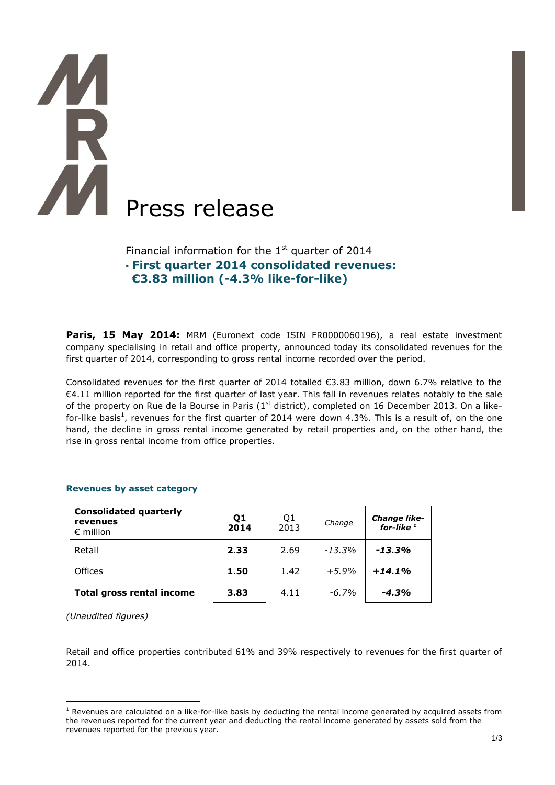# **THE AM** Press release

Financial information for the  $1<sup>st</sup>$  quarter of 2014 **First quarter 2014 consolidated revenues: €3.83 million (-4.3% like-for-like)**

Paris, 15 May 2014: MRM (Euronext code ISIN FR0000060196), a real estate investment company specialising in retail and office property, announced today its consolidated revenues for the first quarter of 2014, corresponding to gross rental income recorded over the period.

Consolidated revenues for the first quarter of 2014 totalled €3.83 million, down 6.7% relative to the €4.11 million reported for the first quarter of last year. This fall in revenues relates notably to the sale of the property on Rue de la Bourse in Paris ( $1<sup>st</sup>$  district), completed on 16 December 2013. On a likefor-like basis<sup>1</sup>, revenues for the first quarter of 2014 were down 4.3%. This is a result of, on the one hand, the decline in gross rental income generated by retail properties and, on the other hand, the rise in gross rental income from office properties.

| <b>Consolidated quarterly</b><br>revenues<br>$\epsilon$ million | Q1<br>2014 | Q1<br>2013 | Change   | Change like-<br>for-like $1$ |
|-----------------------------------------------------------------|------------|------------|----------|------------------------------|
| Retail                                                          | 2.33       | 2.69       | $-13.3%$ | $-13.3%$                     |
| Offices                                                         | 1.50       | 1.42       | $+5.9%$  | $+14.1%$                     |
| <b>Total gross rental income</b>                                | 3.83       | 4.11       | $-6.7\%$ | $-4.3%$                      |

# **Revenues by asset category**

*(Unaudited figures)*

 $\overline{a}$ 

Retail and office properties contributed 61% and 39% respectively to revenues for the first quarter of 2014.

 $1$  Revenues are calculated on a like-for-like basis by deducting the rental income generated by acquired assets from the revenues reported for the current year and deducting the rental income generated by assets sold from the revenues reported for the previous year.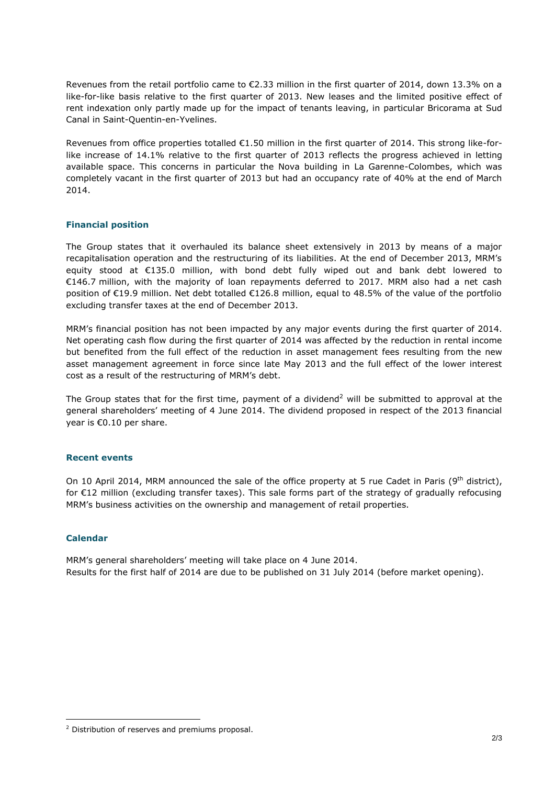Revenues from the retail portfolio came to €2.33 million in the first quarter of 2014, down 13.3% on a like-for-like basis relative to the first quarter of 2013. New leases and the limited positive effect of rent indexation only partly made up for the impact of tenants leaving, in particular Bricorama at Sud Canal in Saint-Quentin-en-Yvelines.

Revenues from office properties totalled €1.50 million in the first quarter of 2014. This strong like-forlike increase of 14.1% relative to the first quarter of 2013 reflects the progress achieved in letting available space. This concerns in particular the Nova building in La Garenne-Colombes, which was completely vacant in the first quarter of 2013 but had an occupancy rate of 40% at the end of March 2014.

# **Financial position**

The Group states that it overhauled its balance sheet extensively in 2013 by means of a major recapitalisation operation and the restructuring of its liabilities. At the end of December 2013, MRM's equity stood at €135.0 million, with bond debt fully wiped out and bank debt lowered to €146.7 million, with the majority of loan repayments deferred to 2017. MRM also had a net cash position of €19.9 million. Net debt totalled €126.8 million, equal to 48.5% of the value of the portfolio excluding transfer taxes at the end of December 2013.

MRM's financial position has not been impacted by any major events during the first quarter of 2014. Net operating cash flow during the first quarter of 2014 was affected by the reduction in rental income but benefited from the full effect of the reduction in asset management fees resulting from the new asset management agreement in force since late May 2013 and the full effect of the lower interest cost as a result of the restructuring of MRM's debt.

The Group states that for the first time, payment of a dividend<sup>2</sup> will be submitted to approval at the general shareholders' meeting of 4 June 2014. The dividend proposed in respect of the 2013 financial year is €0.10 per share.

### **Recent events**

On 10 April 2014, MRM announced the sale of the office property at 5 rue Cadet in Paris (9<sup>th</sup> district), for €12 million (excluding transfer taxes). This sale forms part of the strategy of gradually refocusing MRM's business activities on the ownership and management of retail properties.

### **Calendar**

 $\overline{a}$ 

MRM's general shareholders' meeting will take place on 4 June 2014. Results for the first half of 2014 are due to be published on 31 July 2014 (before market opening).

<sup>2</sup> Distribution of reserves and premiums proposal.